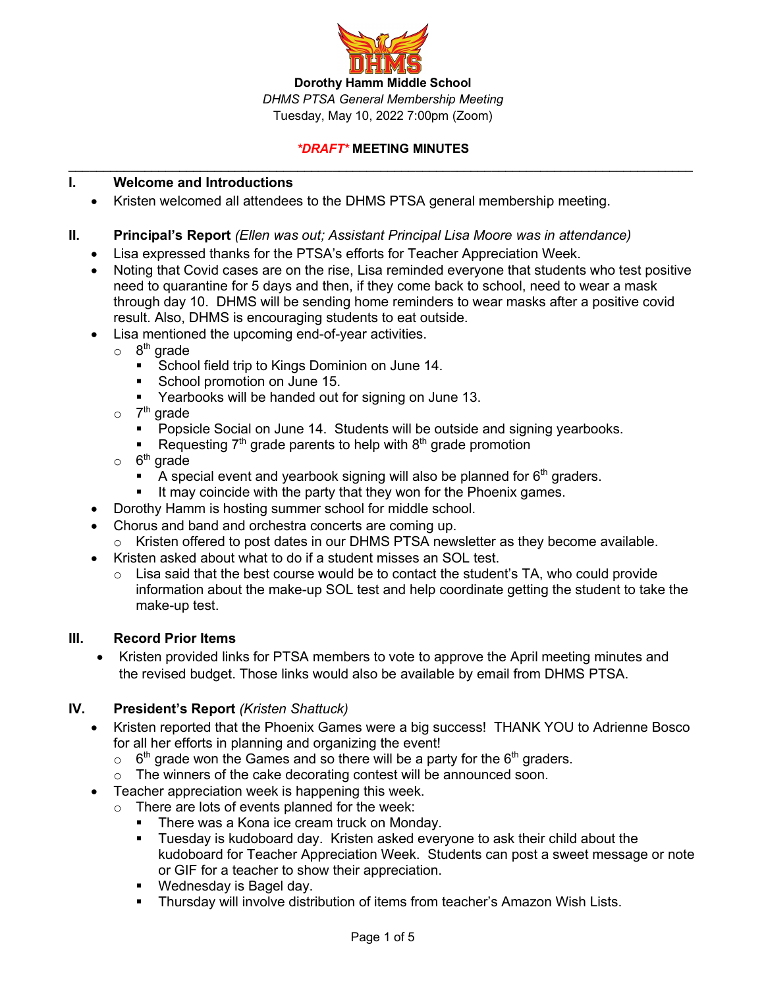

### **I. Welcome and Introductions**

- Kristen welcomed all attendees to the DHMS PTSA general membership meeting.
- **II. Principal's Report** *(Ellen was out; Assistant Principal Lisa Moore was in attendance)*
	- Lisa expressed thanks for the PTSA's efforts for Teacher Appreciation Week.
	- Noting that Covid cases are on the rise, Lisa reminded everyone that students who test positive need to quarantine for 5 days and then, if they come back to school, need to wear a mask through day 10. DHMS will be sending home reminders to wear masks after a positive covid result. Also, DHMS is encouraging students to eat outside.
	- Lisa mentioned the upcoming end-of-year activities.
		- $\circ$  8<sup>th</sup> grade
			- School field trip to Kings Dominion on June 14.
			- **•** School promotion on June 15.
			- Yearbooks will be handed out for signing on June 13.
		- $\circ$  7<sup>th</sup> grade
			- Popsicle Social on June 14. Students will be outside and signing yearbooks.
			- Requesting  $7<sup>th</sup>$  grade parents to help with  $8<sup>th</sup>$  grade promotion
		- $\circ$  6<sup>th</sup> grade
			- A special event and yearbook signing will also be planned for  $6<sup>th</sup>$  graders.
			- It may coincide with the party that they won for the Phoenix games.
	- Dorothy Hamm is hosting summer school for middle school.
	- Chorus and band and orchestra concerts are coming up.
		- $\circ$  Kristen offered to post dates in our DHMS PTSA newsletter as they become available.
	- Kristen asked about what to do if a student misses an SOL test.
		- $\circ$  Lisa said that the best course would be to contact the student's TA, who could provide information about the make-up SOL test and help coordinate getting the student to take the make-up test.

#### **III. Record Prior Items**

• Kristen provided links for PTSA members to vote to approve the April meeting minutes and the revised budget. Those links would also be available by email from DHMS PTSA.

# **IV. President's Report** *(Kristen Shattuck)*

- Kristen reported that the Phoenix Games were a big success! THANK YOU to Adrienne Bosco for all her efforts in planning and organizing the event!
	- $\circ$  6<sup>th</sup> grade won the Games and so there will be a party for the 6<sup>th</sup> graders.
	- o The winners of the cake decorating contest will be announced soon.
- Teacher appreciation week is happening this week.
	- o There are lots of events planned for the week:
		- **There was a Kona ice cream truck on Monday.**
		- § Tuesday is kudoboard day. Kristen asked everyone to ask their child about the kudoboard for Teacher Appreciation Week. Students can post a sweet message or note or GIF for a teacher to show their appreciation.
		- Wednesday is Bagel day.
		- § Thursday will involve distribution of items from teacher's Amazon Wish Lists.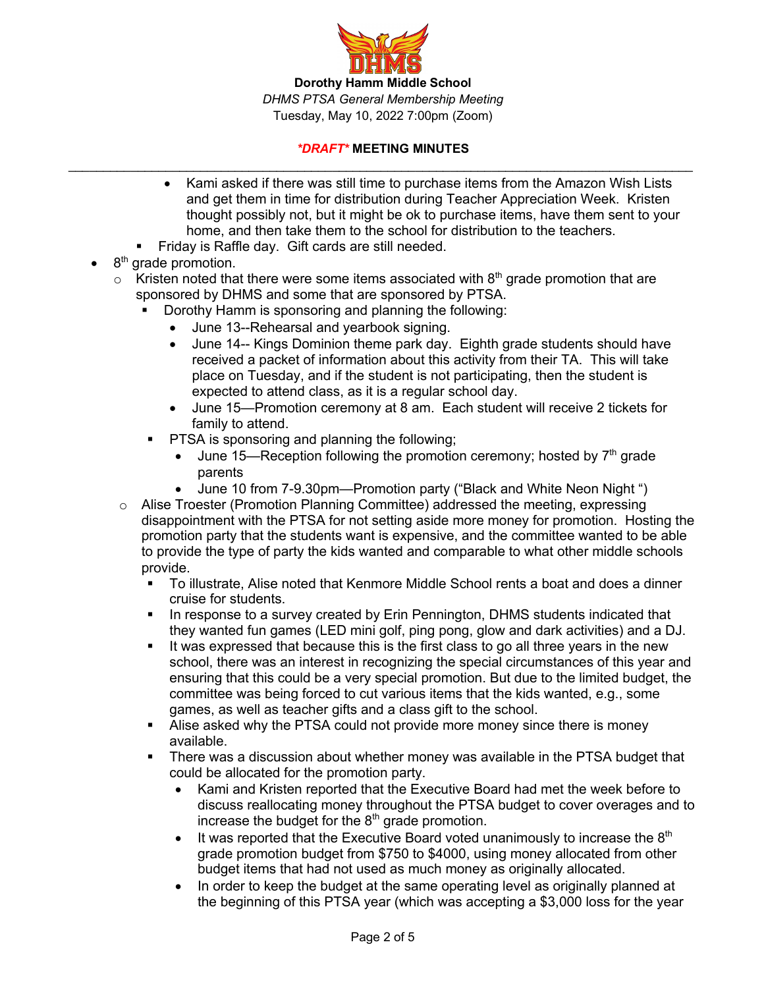

- Kami asked if there was still time to purchase items from the Amazon Wish Lists and get them in time for distribution during Teacher Appreciation Week. Kristen thought possibly not, but it might be ok to purchase items, have them sent to your home, and then take them to the school for distribution to the teachers.
- § Friday is Raffle day. Gift cards are still needed.
- 8<sup>th</sup> grade promotion.
	- $\circ$  Kristen noted that there were some items associated with 8<sup>th</sup> grade promotion that are sponsored by DHMS and some that are sponsored by PTSA.
		- Dorothy Hamm is sponsoring and planning the following:
			- June 13--Rehearsal and yearbook signing.
			- June 14-- Kings Dominion theme park day. Eighth grade students should have received a packet of information about this activity from their TA. This will take place on Tuesday, and if the student is not participating, then the student is expected to attend class, as it is a regular school day.
			- June 15—Promotion ceremony at 8 am. Each student will receive 2 tickets for family to attend.
		- PTSA is sponsoring and planning the following;
			- June 15—Reception following the promotion ceremony; hosted by  $7<sup>th</sup>$  grade parents
			- June 10 from 7-9.30pm—Promotion party ("Black and White Neon Night ")
		- $\circ$  Alise Troester (Promotion Planning Committee) addressed the meeting, expressing disappointment with the PTSA for not setting aside more money for promotion. Hosting the promotion party that the students want is expensive, and the committee wanted to be able to provide the type of party the kids wanted and comparable to what other middle schools provide.
			- § To illustrate, Alise noted that Kenmore Middle School rents a boat and does a dinner cruise for students.
			- In response to a survey created by Erin Pennington, DHMS students indicated that they wanted fun games (LED mini golf, ping pong, glow and dark activities) and a DJ.
			- § It was expressed that because this is the first class to go all three years in the new school, there was an interest in recognizing the special circumstances of this year and ensuring that this could be a very special promotion. But due to the limited budget, the committee was being forced to cut various items that the kids wanted, e.g., some games, as well as teacher gifts and a class gift to the school.
			- Alise asked why the PTSA could not provide more money since there is money available.
			- § There was a discussion about whether money was available in the PTSA budget that could be allocated for the promotion party.
				- Kami and Kristen reported that the Executive Board had met the week before to discuss reallocating money throughout the PTSA budget to cover overages and to increase the budget for the  $8<sup>th</sup>$  grade promotion.
				- It was reported that the Executive Board voted unanimously to increase the  $8<sup>th</sup>$ grade promotion budget from \$750 to \$4000, using money allocated from other budget items that had not used as much money as originally allocated.
				- In order to keep the budget at the same operating level as originally planned at the beginning of this PTSA year (which was accepting a \$3,000 loss for the year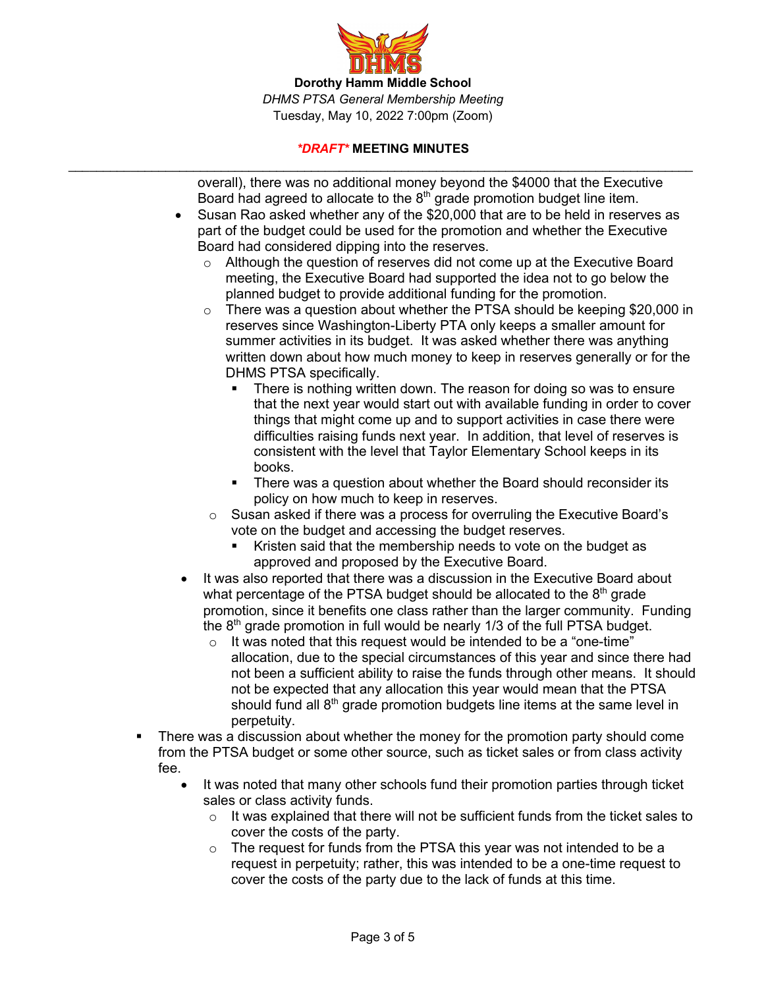

overall), there was no additional money beyond the \$4000 that the Executive Board had agreed to allocate to the  $8<sup>th</sup>$  grade promotion budget line item.

- Susan Rao asked whether any of the \$20,000 that are to be held in reserves as part of the budget could be used for the promotion and whether the Executive Board had considered dipping into the reserves.
	- $\circ$  Although the question of reserves did not come up at the Executive Board meeting, the Executive Board had supported the idea not to go below the planned budget to provide additional funding for the promotion.
	- $\circ$  There was a question about whether the PTSA should be keeping \$20,000 in reserves since Washington-Liberty PTA only keeps a smaller amount for summer activities in its budget. It was asked whether there was anything written down about how much money to keep in reserves generally or for the DHMS PTSA specifically.
		- There is nothing written down. The reason for doing so was to ensure that the next year would start out with available funding in order to cover things that might come up and to support activities in case there were difficulties raising funds next year. In addition, that level of reserves is consistent with the level that Taylor Elementary School keeps in its books.
		- There was a question about whether the Board should reconsider its policy on how much to keep in reserves.
	- o Susan asked if there was a process for overruling the Executive Board's vote on the budget and accessing the budget reserves.
		- Kristen said that the membership needs to vote on the budget as approved and proposed by the Executive Board.
- It was also reported that there was a discussion in the Executive Board about what percentage of the PTSA budget should be allocated to the  $8<sup>th</sup>$  grade promotion, since it benefits one class rather than the larger community. Funding the  $8<sup>th</sup>$  grade promotion in full would be nearly 1/3 of the full PTSA budget.
	- $\circ$  It was noted that this request would be intended to be a "one-time" allocation, due to the special circumstances of this year and since there had not been a sufficient ability to raise the funds through other means. It should not be expected that any allocation this year would mean that the PTSA should fund all 8<sup>th</sup> grade promotion budgets line items at the same level in perpetuity.
- There was a discussion about whether the money for the promotion party should come from the PTSA budget or some other source, such as ticket sales or from class activity fee.
	- It was noted that many other schools fund their promotion parties through ticket sales or class activity funds.
		- $\circ$  It was explained that there will not be sufficient funds from the ticket sales to cover the costs of the party.
		- o The request for funds from the PTSA this year was not intended to be a request in perpetuity; rather, this was intended to be a one-time request to cover the costs of the party due to the lack of funds at this time.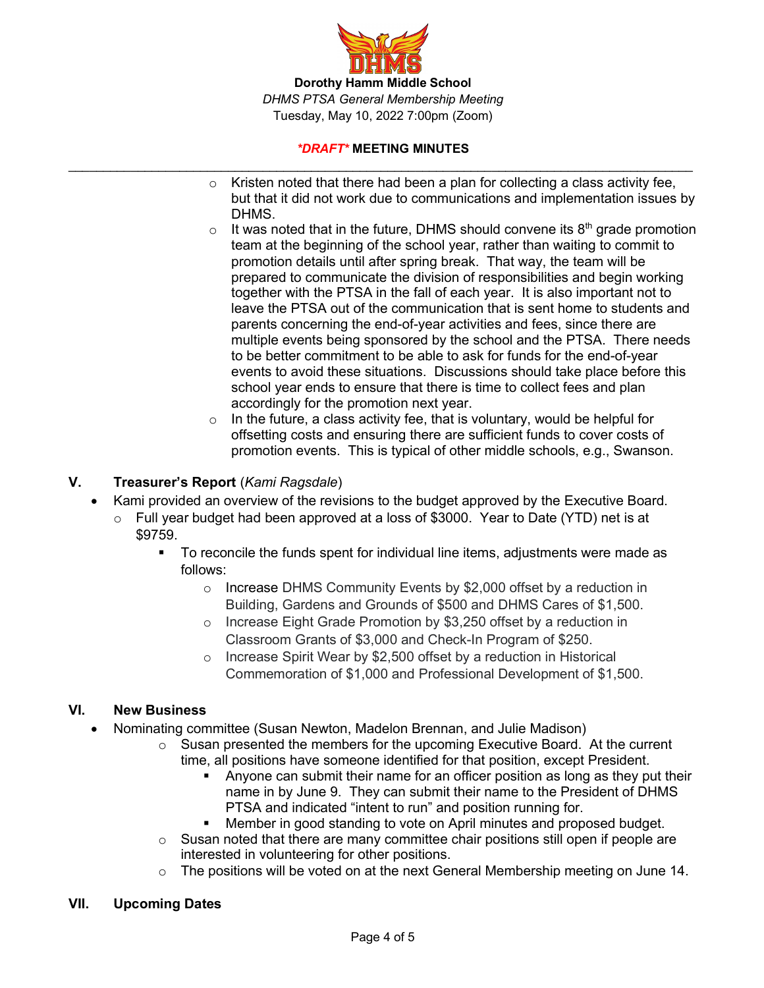

- $\circ$  Kristen noted that there had been a plan for collecting a class activity fee, but that it did not work due to communications and implementation issues by DHMS.
- $\circ$  It was noted that in the future, DHMS should convene its  $8<sup>th</sup>$  grade promotion team at the beginning of the school year, rather than waiting to commit to promotion details until after spring break. That way, the team will be prepared to communicate the division of responsibilities and begin working together with the PTSA in the fall of each year. It is also important not to leave the PTSA out of the communication that is sent home to students and parents concerning the end-of-year activities and fees, since there are multiple events being sponsored by the school and the PTSA. There needs to be better commitment to be able to ask for funds for the end-of-year events to avoid these situations. Discussions should take place before this school year ends to ensure that there is time to collect fees and plan accordingly for the promotion next year.
- $\circ$  In the future, a class activity fee, that is voluntary, would be helpful for offsetting costs and ensuring there are sufficient funds to cover costs of promotion events. This is typical of other middle schools, e.g., Swanson.

# **V. Treasurer's Report** (*Kami Ragsdale*)

- Kami provided an overview of the revisions to the budget approved by the Executive Board.
	- o Full year budget had been approved at a loss of \$3000. Year to Date (YTD) net is at \$9759.
		- § To reconcile the funds spent for individual line items, adjustments were made as follows:
			- o Increase DHMS Community Events by \$2,000 offset by a reduction in Building, Gardens and Grounds of \$500 and DHMS Cares of \$1,500.
			- o Increase Eight Grade Promotion by \$3,250 offset by a reduction in Classroom Grants of \$3,000 and Check-In Program of \$250.
			- o Increase Spirit Wear by \$2,500 offset by a reduction in Historical Commemoration of \$1,000 and Professional Development of \$1,500.

# **VI. New Business**

- Nominating committee (Susan Newton, Madelon Brennan, and Julie Madison)
	- $\circ$  Susan presented the members for the upcoming Executive Board. At the current time, all positions have someone identified for that position, except President.
		- § Anyone can submit their name for an officer position as long as they put their name in by June 9. They can submit their name to the President of DHMS PTSA and indicated "intent to run" and position running for.
		- § Member in good standing to vote on April minutes and proposed budget.
	- $\circ$  Susan noted that there are many committee chair positions still open if people are interested in volunteering for other positions.
	- $\circ$  The positions will be voted on at the next General Membership meeting on June 14.

# **VII. Upcoming Dates**